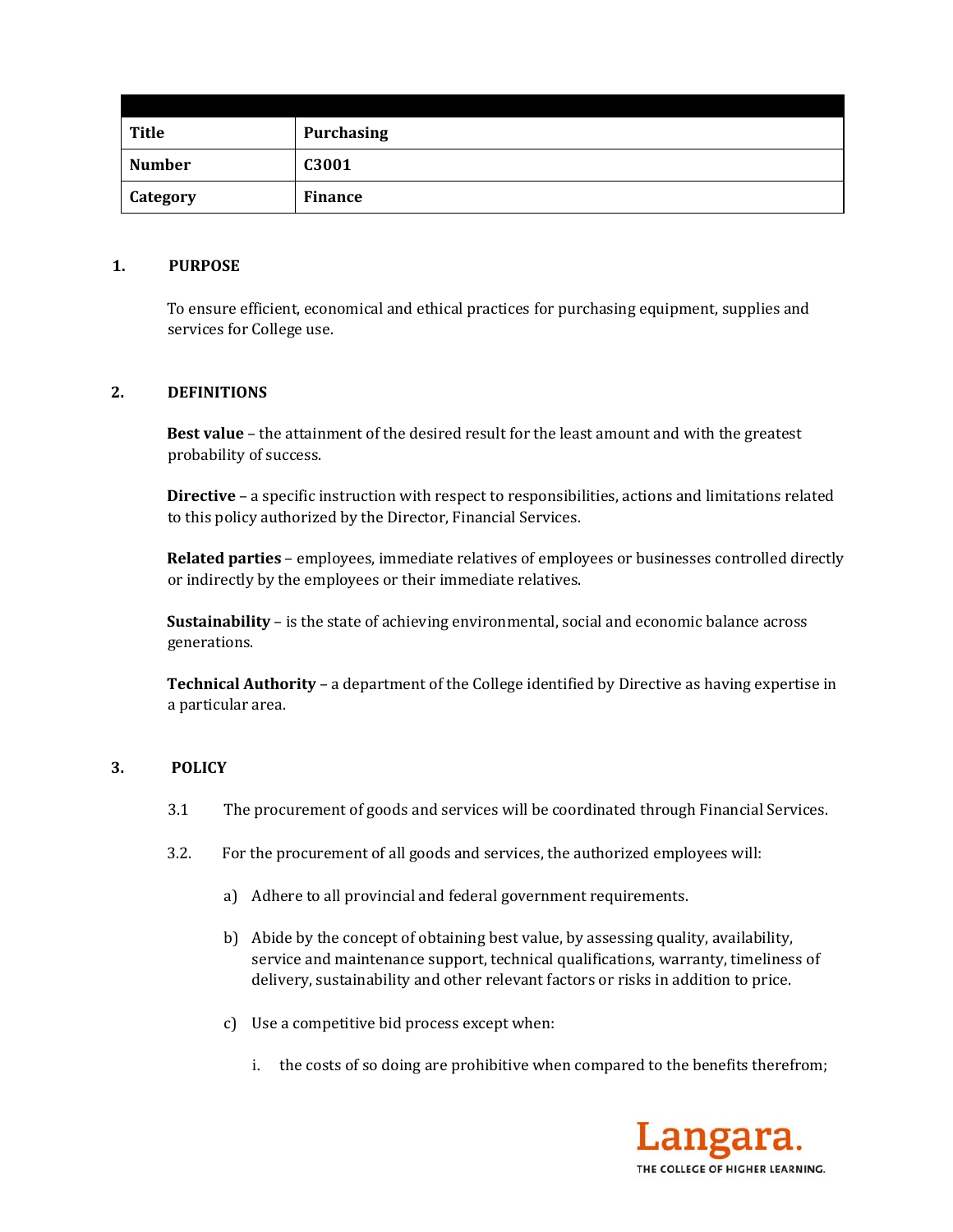| <b>Title</b>  | <b>Purchasing</b> |
|---------------|-------------------|
| <b>Number</b> | C3001             |
| Category      | <b>Finance</b>    |

### 1. **PURPOSE**

To ensure efficient, economical and ethical practices for purchasing equipment, supplies and services for College use.

### 2. **DEFINITIONS**

**Best value** – the attainment of the desired result for the least amount and with the greatest probability of success.

**Directive** – a specific instruction with respect to responsibilities, actions and limitations related to this policy authorized by the Director, Financial Services.

**Related parties** – employees, immediate relatives of employees or businesses controlled directly or indirectly by the employees or their immediate relatives.

**Sustainability** – is the state of achieving environmental, social and economic balance across generations. 

**Technical Authority** - a department of the College identified by Directive as having expertise in a particular area.

### **3. POLICY**

- 3.1 The procurement of goods and services will be coordinated through Financial Services.
- 3.2. For the procurement of all goods and services, the authorized employees will:
	- a) Adhere to all provincial and federal government requirements.
	- b) Abide by the concept of obtaining best value, by assessing quality, availability, service and maintenance support, technical qualifications, warranty, timeliness of delivery, sustainability and other relevant factors or risks in addition to price.
	- c) Use a competitive bid process except when:
		- i. the costs of so doing are prohibitive when compared to the benefits therefrom;